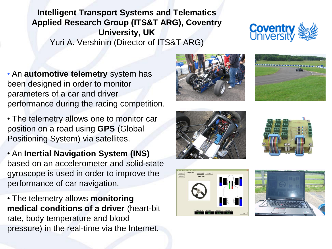**Intelligent Transport Systems and Telematics Applied Research Group (ITS&T ARG), Coventry University, UK** Yuri A. Vershinin (Director of ITS&T ARG)

- An **automotive telemetry** system has been designed in order to monitor parameters of a car and driver performance during the racing competition.
- The telemetry allows one to monitor car position on a road using **GPS** (Global Positioning System) via satellites.
- An **Inertial Navigation System (INS)**  based on an accelerometer and solid-state gyroscope is used in order to improve the performance of car navigation.
- The telemetry allows **monitoring medical conditions of a driver** (heart-bit rate, body temperature and blood pressure) in the real-time via the Internet.















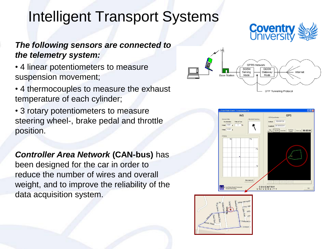# Intelligent Transport Systems

### *The following sensors are connected to the telemetry system:*

- 4 linear potentiometers to measure suspension movement;
- 4 thermocouples to measure the exhaust temperature of each cylinder;
- 3 rotary potentiometers to measure steering wheel-, brake pedal and throttle position.

*Controller Area Network* **(CAN-bus)** has been designed for the car in order to reduce the number of wires and overall weight, and to improve the reliability of the data acquisition system.